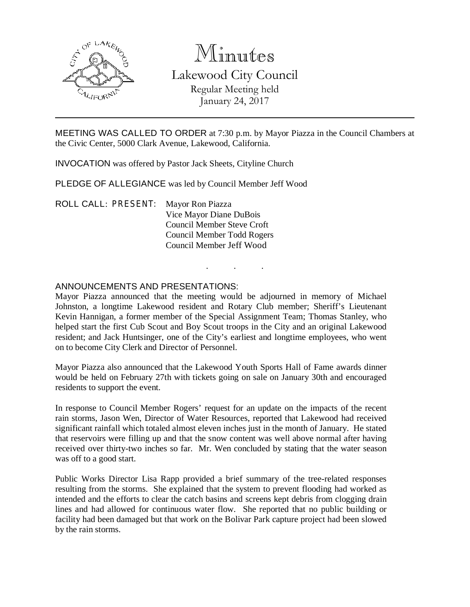

# Minutes

Lakewood City Council Regular Meeting held January 24, 2017

MEETING WAS CALLED TO ORDER at 7:30 p.m. by Mayor Piazza in the Council Chambers at the Civic Center, 5000 Clark Avenue, Lakewood, California.

INVOCATION was offered by Pastor Jack Sheets, Cityline Church

PLEDGE OF ALLEGIANCE was led by Council Member Jeff Wood

ROLL CALL: PRESENT: Mayor Ron Piazza Vice Mayor Diane DuBois Council Member Steve Croft Council Member Todd Rogers Council Member Jeff Wood

# ANNOUNCEMENTS AND PRESENTATIONS:

Mayor Piazza announced that the meeting would be adjourned in memory of Michael Johnston, a longtime Lakewood resident and Rotary Club member; Sheriff's Lieutenant Kevin Hannigan, a former member of the Special Assignment Team; Thomas Stanley, who helped start the first Cub Scout and Boy Scout troops in the City and an original Lakewood resident; and Jack Huntsinger, one of the City's earliest and longtime employees, who went on to become City Clerk and Director of Personnel.

. . .

Mayor Piazza also announced that the Lakewood Youth Sports Hall of Fame awards dinner would be held on February 27th with tickets going on sale on January 30th and encouraged residents to support the event.

In response to Council Member Rogers' request for an update on the impacts of the recent rain storms, Jason Wen, Director of Water Resources, reported that Lakewood had received significant rainfall which totaled almost eleven inches just in the month of January. He stated that reservoirs were filling up and that the snow content was well above normal after having received over thirty-two inches so far. Mr. Wen concluded by stating that the water season was off to a good start.

Public Works Director Lisa Rapp provided a brief summary of the tree-related responses resulting from the storms. She explained that the system to prevent flooding had worked as intended and the efforts to clear the catch basins and screens kept debris from clogging drain lines and had allowed for continuous water flow. She reported that no public building or facility had been damaged but that work on the Bolivar Park capture project had been slowed by the rain storms.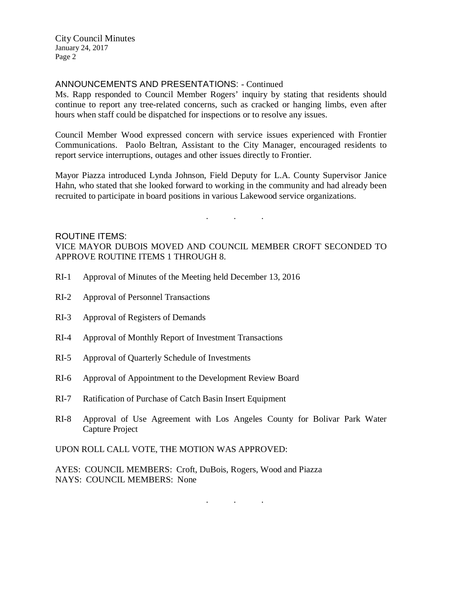# ANNOUNCEMENTS AND PRESENTATIONS: - Continued

Ms. Rapp responded to Council Member Rogers' inquiry by stating that residents should continue to report any tree-related concerns, such as cracked or hanging limbs, even after hours when staff could be dispatched for inspections or to resolve any issues.

Council Member Wood expressed concern with service issues experienced with Frontier Communications. Paolo Beltran, Assistant to the City Manager, encouraged residents to report service interruptions, outages and other issues directly to Frontier.

Mayor Piazza introduced Lynda Johnson, Field Deputy for L.A. County Supervisor Janice Hahn, who stated that she looked forward to working in the community and had already been recruited to participate in board positions in various Lakewood service organizations.

. . .

#### ROUTINE ITEMS:

VICE MAYOR DUBOIS MOVED AND COUNCIL MEMBER CROFT SECONDED TO APPROVE ROUTINE ITEMS 1 THROUGH 8.

- RI-1 Approval of Minutes of the Meeting held December 13, 2016
- RI-2 Approval of Personnel Transactions
- RI-3 Approval of Registers of Demands
- RI-4 Approval of Monthly Report of Investment Transactions
- RI-5 Approval of Quarterly Schedule of Investments
- RI-6 Approval of Appointment to the Development Review Board
- RI-7 Ratification of Purchase of Catch Basin Insert Equipment
- RI-8 Approval of Use Agreement with Los Angeles County for Bolivar Park Water Capture Project

UPON ROLL CALL VOTE, THE MOTION WAS APPROVED:

AYES: COUNCIL MEMBERS: Croft, DuBois, Rogers, Wood and Piazza NAYS: COUNCIL MEMBERS: None

. . .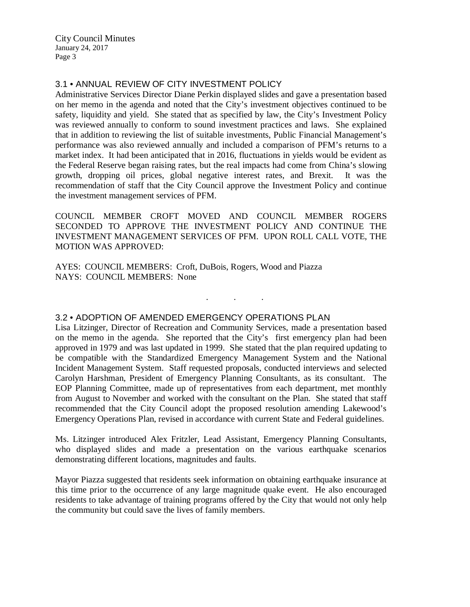# 3.1 • ANNUAL REVIEW OF CITY INVESTMENT POLICY

Administrative Services Director Diane Perkin displayed slides and gave a presentation based on her memo in the agenda and noted that the City's investment objectives continued to be safety, liquidity and yield. She stated that as specified by law, the City's Investment Policy was reviewed annually to conform to sound investment practices and laws. She explained that in addition to reviewing the list of suitable investments, Public Financial Management's performance was also reviewed annually and included a comparison of PFM's returns to a market index. It had been anticipated that in 2016, fluctuations in yields would be evident as the Federal Reserve began raising rates, but the real impacts had come from China's slowing growth, dropping oil prices, global negative interest rates, and Brexit. It was the recommendation of staff that the City Council approve the Investment Policy and continue the investment management services of PFM.

COUNCIL MEMBER CROFT MOVED AND COUNCIL MEMBER ROGERS SECONDED TO APPROVE THE INVESTMENT POLICY AND CONTINUE THE INVESTMENT MANAGEMENT SERVICES OF PFM. UPON ROLL CALL VOTE, THE MOTION WAS APPROVED:

. . .

AYES: COUNCIL MEMBERS: Croft, DuBois, Rogers, Wood and Piazza NAYS: COUNCIL MEMBERS: None

# 3.2 • ADOPTION OF AMENDED EMERGENCY OPERATIONS PLAN

Lisa Litzinger, Director of Recreation and Community Services, made a presentation based on the memo in the agenda. She reported that the City's first emergency plan had been approved in 1979 and was last updated in 1999. She stated that the plan required updating to be compatible with the Standardized Emergency Management System and the National Incident Management System. Staff requested proposals, conducted interviews and selected Carolyn Harshman, President of Emergency Planning Consultants, as its consultant. The EOP Planning Committee, made up of representatives from each department, met monthly from August to November and worked with the consultant on the Plan. She stated that staff recommended that the City Council adopt the proposed resolution amending Lakewood's Emergency Operations Plan, revised in accordance with current State and Federal guidelines.

Ms. Litzinger introduced Alex Fritzler, Lead Assistant, Emergency Planning Consultants, who displayed slides and made a presentation on the various earthquake scenarios demonstrating different locations, magnitudes and faults.

Mayor Piazza suggested that residents seek information on obtaining earthquake insurance at this time prior to the occurrence of any large magnitude quake event. He also encouraged residents to take advantage of training programs offered by the City that would not only help the community but could save the lives of family members.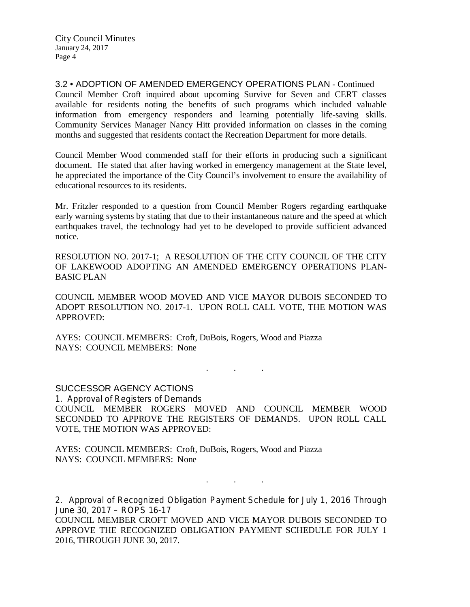3.2 • ADOPTION OF AMENDED EMERGENCY OPERATIONS PLAN - Continued Council Member Croft inquired about upcoming Survive for Seven and CERT classes available for residents noting the benefits of such programs which included valuable information from emergency responders and learning potentially life-saving skills. Community Services Manager Nancy Hitt provided information on classes in the coming months and suggested that residents contact the Recreation Department for more details.

Council Member Wood commended staff for their efforts in producing such a significant document. He stated that after having worked in emergency management at the State level, he appreciated the importance of the City Council's involvement to ensure the availability of educational resources to its residents.

Mr. Fritzler responded to a question from Council Member Rogers regarding earthquake early warning systems by stating that due to their instantaneous nature and the speed at which earthquakes travel, the technology had yet to be developed to provide sufficient advanced notice.

RESOLUTION NO. 2017-1; A RESOLUTION OF THE CITY COUNCIL OF THE CITY OF LAKEWOOD ADOPTING AN AMENDED EMERGENCY OPERATIONS PLAN-BASIC PLAN

COUNCIL MEMBER WOOD MOVED AND VICE MAYOR DUBOIS SECONDED TO ADOPT RESOLUTION NO. 2017-1. UPON ROLL CALL VOTE, THE MOTION WAS APPROVED:

AYES: COUNCIL MEMBERS: Croft, DuBois, Rogers, Wood and Piazza NAYS: COUNCIL MEMBERS: None

. . .

SUCCESSOR AGENCY ACTIONS

1. Approval of Registers of Demands COUNCIL MEMBER ROGERS MOVED AND COUNCIL MEMBER WOOD SECONDED TO APPROVE THE REGISTERS OF DEMANDS. UPON ROLL CALL VOTE, THE MOTION WAS APPROVED:

AYES: COUNCIL MEMBERS: Croft, DuBois, Rogers, Wood and Piazza NAYS: COUNCIL MEMBERS: None

2. Approval of Recognized Obligation Payment Schedule for July 1, 2016 Through June 30, 2017 – ROPS 16-17

. . .

COUNCIL MEMBER CROFT MOVED AND VICE MAYOR DUBOIS SECONDED TO APPROVE THE RECOGNIZED OBLIGATION PAYMENT SCHEDULE FOR JULY 1 2016, THROUGH JUNE 30, 2017.